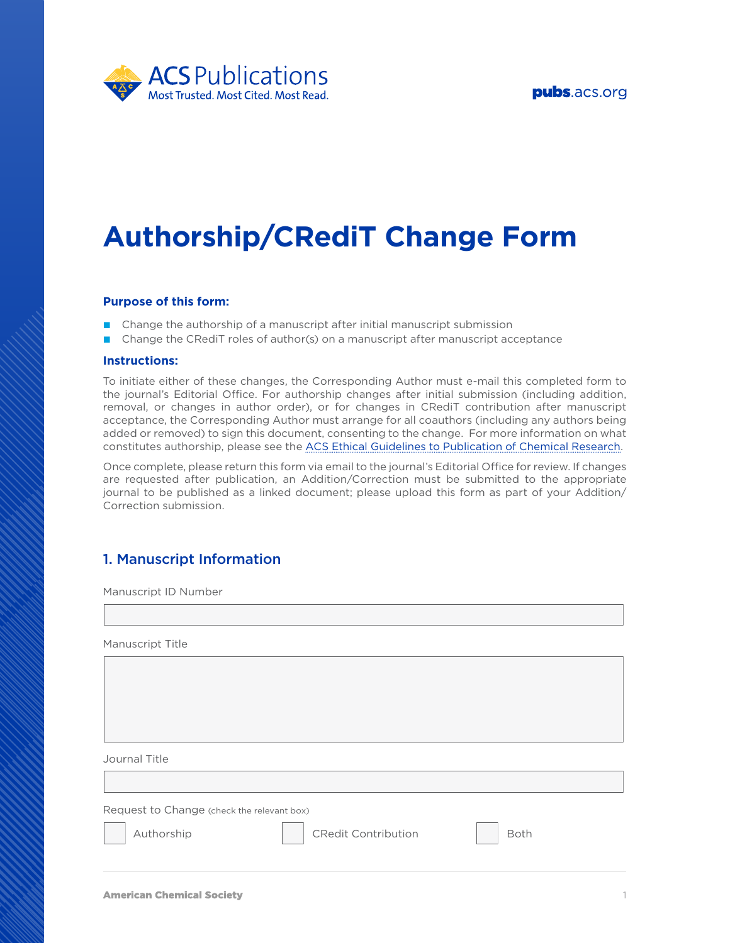



# **Authorship/CRediT Change Form**

### **Purpose of this form:**

- Change the authorship of a manuscript after initial manuscript submission
- **■** Change the CRediT roles of author(s) on a manuscript after manuscript acceptance

#### **Instructions:**

To initiate either of these changes, the Corresponding Author must e-mail this completed form to the journal's Editorial Office. For authorship changes after initial submission (including addition, removal, or changes in author order), or for changes in CRediT contribution after manuscript acceptance, the Corresponding Author must arrange for all coauthors (including any authors being added or removed) to sign this document, consenting to the change. For more information on what constitutes authorship, please see the [ACS Ethical Guidelines to Publication of Chemical Research.](https://pubs.acs.org/page/policy/ethics/index.html)

Once complete, please return this form via email to the journal's Editorial Office for review. If changes are requested after publication, an Addition/Correction must be submitted to the appropriate journal to be published as a linked document; please upload this form as part of your Addition/ Correction submission.

## 1. Manuscript Information

Manuscript ID Number

Manuscript Title

Journal Title

Request to Change (check the relevant box)



Authorship **CRedit Contribution** Both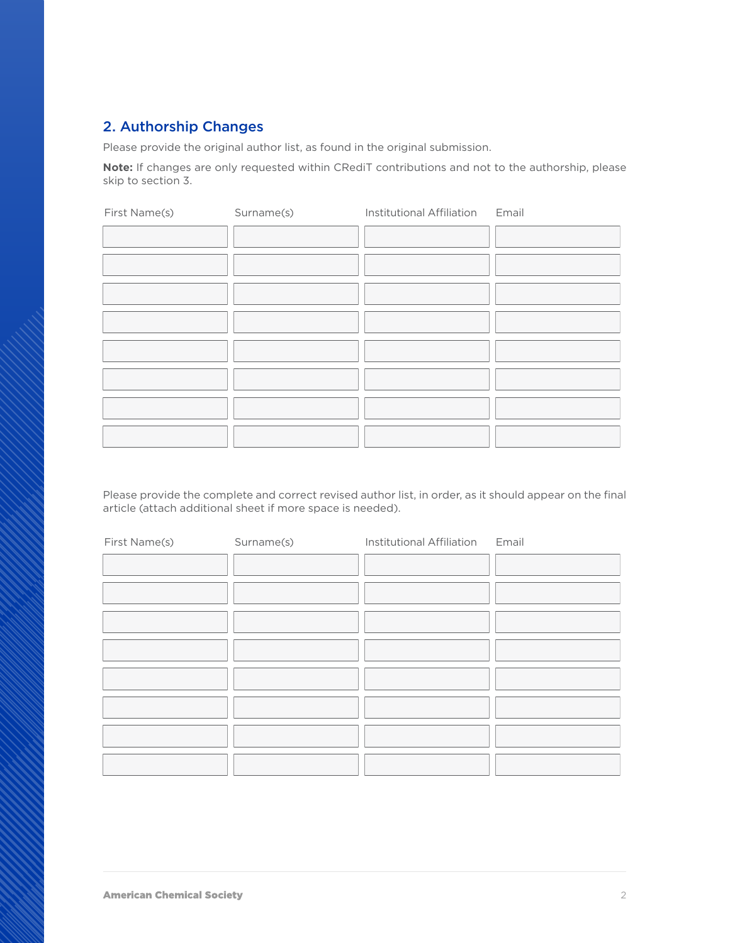# 2. Authorship Changes

Please provide the original author list, as found in the original submission.

**Note:** If changes are only requested within CRediT contributions and not to the authorship, please skip to section 3.

| First Name(s) | Surname(s) | Institutional Affiliation Email |  |
|---------------|------------|---------------------------------|--|
|               |            |                                 |  |
|               |            |                                 |  |
|               |            |                                 |  |
|               |            |                                 |  |
|               |            |                                 |  |
|               |            |                                 |  |
|               |            |                                 |  |
|               |            |                                 |  |

Please provide the complete and correct revised author list, in order, as it should appear on the final article (attach additional sheet if more space is needed).

| First Name(s) | Surname(s) | Institutional Affiliation Email |  |
|---------------|------------|---------------------------------|--|
|               |            |                                 |  |
|               |            |                                 |  |
|               |            |                                 |  |
|               |            |                                 |  |
|               |            |                                 |  |
|               |            |                                 |  |
|               |            |                                 |  |
|               |            |                                 |  |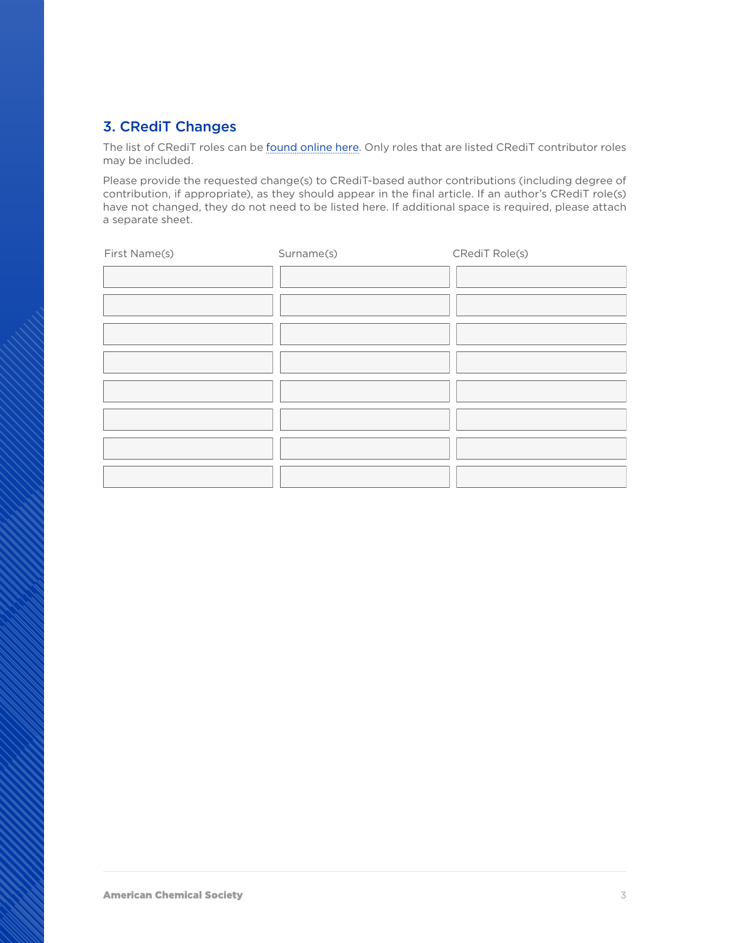# 3. CRediT Changes

The list of CRediT roles can be [found online here](https://credit.niso.org/). Only roles that are listed CRediT contributor roles may be included.

Please provide the requested change(s) to CRediT-based author contributions (including degree of contribution, if appropriate), as they should appear in the final article. If an author's CRediT role(s) have not changed, they do not need to be listed here. If additional space is required, please attach a separate sheet.

| First Name(s) | Surname(s) | CRediT Role(s) |
|---------------|------------|----------------|
|               |            |                |
|               |            |                |
|               |            |                |
|               |            |                |
|               |            |                |
|               |            |                |
|               |            |                |
|               |            |                |